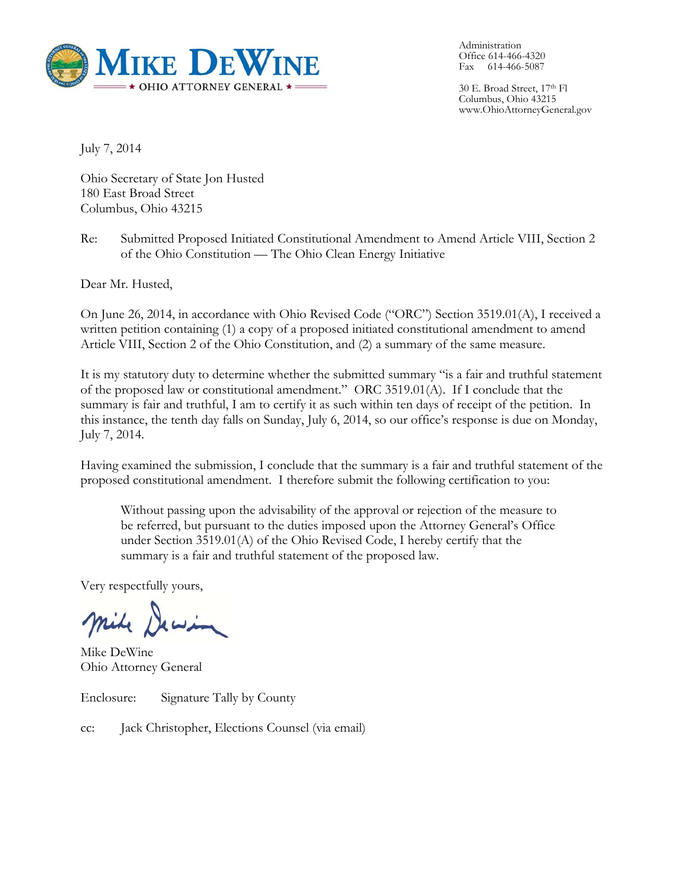

Administration Office 614-466-4320 Fax 614-466-5087

30 E. Broad Street, 17th Fl Columbus, Ohio 43215 www.OhioAttorneyGeneral.gov

July 7, 2014

Ohio Secretary of State Jon Husted 180 East Broad Street Columbus, Ohio 43215

Re: Submitted Proposed Initiated Constitutional Amendment to Amend Article VIII, Section 2 of the Ohio Constitution — The Ohio Clean Energy Initiative

Dear Mr. Husted,

On June 26, 2014, in accordance with Ohio Revised Code ("ORC") Section 3519.01(A), I received a written petition containing (1) a copy of a proposed initiated constitutional amendment to amend Article VIII, Section 2 of the Ohio Constitution, and (2) a summary of the same measure.

It is my statutory duty to determine whether the submitted summary "is a fair and truthful statement of the proposed law or constitutional amendment." ORC 3519.01(A). If I conclude that the summary is fair and truthful, I am to certify it as such within ten days of receipt of the petition. In this instance, the tenth day falls on Sunday, July 6, 2014, so our office's response is due on Monday, July 7, 2014.

Having examined the submission, I conclude that the summary is a fair and truthful statement of the proposed constitutional amendment. I therefore submit the following certification to you:

Without passing upon the advisability of the approval or rejection of the measure to be referred, but pursuant to the duties imposed upon the Attorney General's Office under Section 3519.01(A) of the Ohio Revised Code, I hereby certify that the summary is a fair and truthful statement of the proposed law.

Very respectfully yours,

mile Dewin

Mike DeWine Ohio Attorney General

Enclosure: Signature Tally by County

cc: Jack Christopher, Elections Counsel (via email)